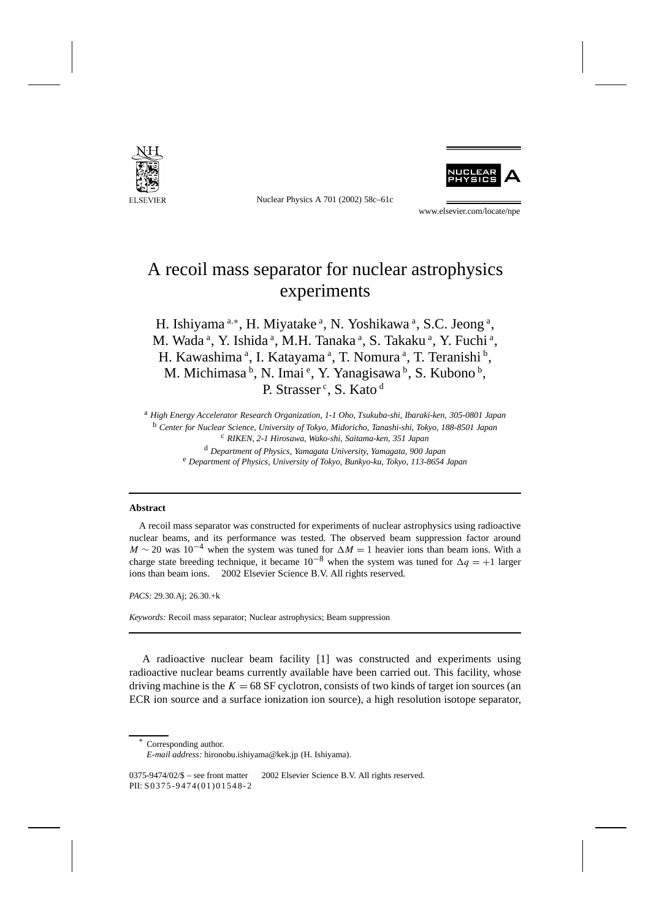

Nuclear Physics A 701 (2002) 58c–61c



www.elsevier.com/locate/npe

## A recoil mass separator for nuclear astrophysics experiments

H. Ishiyama<sup>a,\*</sup>, H. Miyatake<sup>a</sup>, N. Yoshikawa<sup>a</sup>, S.C. Jeong<sup>a</sup>, M. Wada<sup>a</sup>, Y. Ishida<sup>a</sup>, M.H. Tanaka<sup>a</sup>, S. Takaku<sup>a</sup>, Y. Fuchi<sup>a</sup>, H. Kawashima<sup>a</sup>, I. Katayama<sup>a</sup>, T. Nomura<sup>a</sup>, T. Teranishi<sup>b</sup>, M. Michimasa <sup>b</sup>, N. Imai <sup>e</sup>, Y. Yanagisawa <sup>b</sup>, S. Kubono <sup>b</sup>, P. Strasser<sup>c</sup>, S. Kato<sup>d</sup>

<sup>a</sup> *High Energy Accelerator Research Organization, 1-1 Oho, Tsukuba-shi, Ibaraki-ken, 305-0801 Japan* <sup>b</sup> *Center for Nuclear Science, University of Tokyo, Midoricho, Tanashi-shi, Tokyo, 188-8501 Japan* <sup>c</sup> *RIKEN, 2-1 Hirosawa, Wako-shi, Saitama-ken, 351 Japan* <sup>d</sup> *Department of Physics, Yamagata University, Yamagata, 900 Japan* <sup>e</sup> *Department of Physics, University of Tokyo, Bunkyo-ku, Tokyo, 113-8654 Japan*

## **Abstract**

A recoil mass separator was constructed for experiments of nuclear astrophysics using radioactive nuclear beams, and its performance was tested. The observed beam suppression factor around  $M \sim 20$  was 10<sup>-4</sup> when the system was tuned for  $\Delta M = 1$  heavier ions than beam ions. With a charge state breeding technique, it became  $10^{-8}$  when the system was tuned for  $\Delta q = +1$  larger ions than beam ions.  $© 2002$  Elsevier Science B.V. All rights reserved.

*PACS:* 29.30.Aj; 26.30.+k

*Keywords:* Recoil mass separator; Nuclear astrophysics; Beam suppression

A radioactive nuclear beam facility [1] was constructed and experiments using radioactive nuclear beams currently available have been carried out. This facility, whose driving machine is the  $K = 68$  SF cyclotron, consists of two kinds of target ion sources (an ECR ion source and a surface ionization ion source), a high resolution isotope separator,

Corresponding author.

*E-mail address:* hironobu.ishiyama@kek.jp (H. Ishiyama).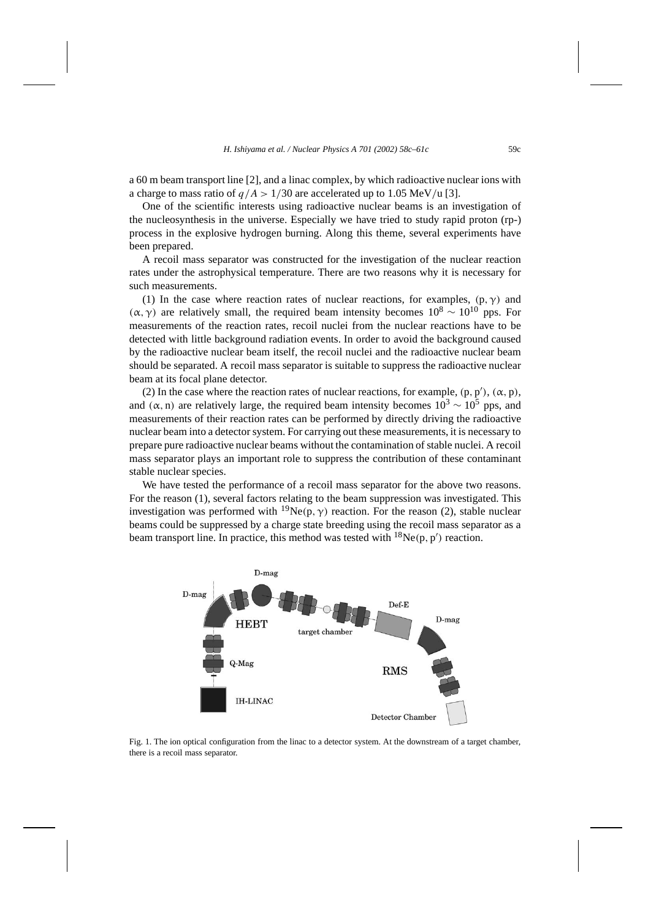a 60 m beam transport line [2], and a linac complex, by which radioactive nuclear ions with a charge to mass ratio of  $q/A > 1/30$  are accelerated up to 1.05 MeV/u [3].

One of the scientific interests using radioactive nuclear beams is an investigation of the nucleosynthesis in the universe. Especially we have tried to study rapid proton (rp-) process in the explosive hydrogen burning. Along this theme, several experiments have been prepared.

A recoil mass separator was constructed for the investigation of the nuclear reaction rates under the astrophysical temperature. There are two reasons why it is necessary for such measurements.

(1) In the case where reaction rates of nuclear reactions, for examples,  $(p, \gamma)$  and *(α, γ)* are relatively small, the required beam intensity becomes  $10^8 \sim 10^{10}$  pps. For measurements of the reaction rates, recoil nuclei from the nuclear reactions have to be detected with little background radiation events. In order to avoid the background caused by the radioactive nuclear beam itself, the recoil nuclei and the radioactive nuclear beam should be separated. A recoil mass separator is suitable to suppress the radioactive nuclear beam at its focal plane detector.

(2) In the case where the reaction rates of nuclear reactions, for example,  $(p, p')$ ,  $(α, p)$ , and  $(\alpha, n)$  are relatively large, the required beam intensity becomes  $10^3 \sim 10^5$  pps, and measurements of their reaction rates can be performed by directly driving the radioactive nuclear beam into a detector system. For carrying out these measurements, it is necessary to prepare pure radioactive nuclear beams without the contamination of stable nuclei. A recoil mass separator plays an important role to suppress the contribution of these contaminant stable nuclear species.

We have tested the performance of a recoil mass separator for the above two reasons. For the reason (1), several factors relating to the beam suppression was investigated. This investigation was performed with <sup>19</sup>Ne(p,  $\gamma$ ) reaction. For the reason (2), stable nuclear beams could be suppressed by a charge state breeding using the recoil mass separator as a beam transport line. In practice, this method was tested with  $^{18}Ne(p, p')$  reaction.



Fig. 1. The ion optical configuration from the linac to a detector system. At the downstream of a target chamber, there is a recoil mass separator.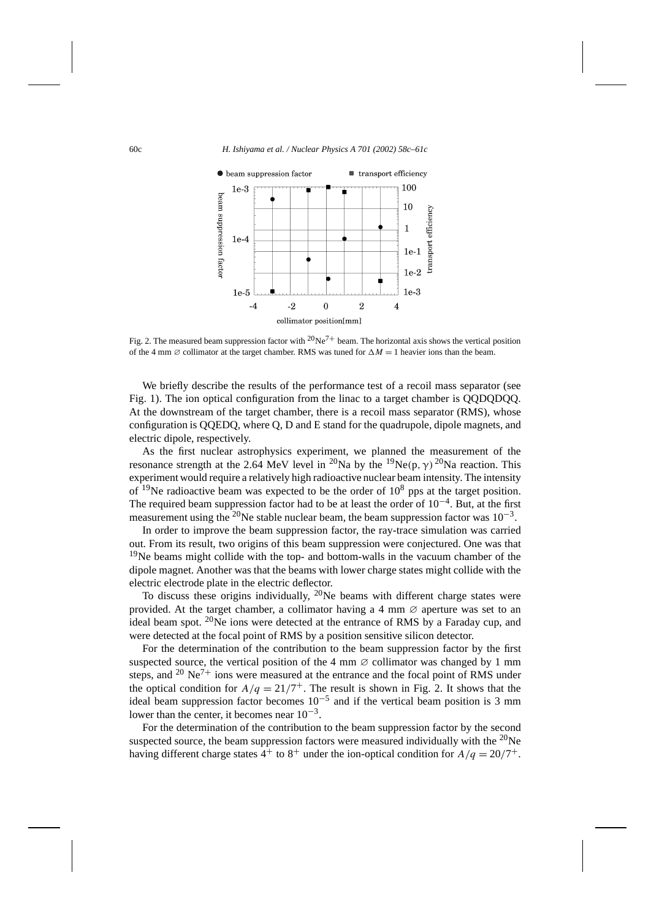

Fig. 2. The measured beam suppression factor with  $20Ne^{7+}$  beam. The horizontal axis shows the vertical position of the 4 mm  $\varnothing$  collimator at the target chamber. RMS was tuned for  $\Delta M = 1$  heavier ions than the beam.

We briefly describe the results of the performance test of a recoil mass separator (see Fig. 1). The ion optical configuration from the linac to a target chamber is QQDQDQQ. At the downstream of the target chamber, there is a recoil mass separator (RMS), whose configuration is QQEDQ, where Q, D and E stand for the quadrupole, dipole magnets, and electric dipole, respectively.

As the first nuclear astrophysics experiment, we planned the measurement of the resonance strength at the 2.64 MeV level in <sup>20</sup>Na by the <sup>19</sup>Ne(p,  $\gamma$ )<sup>20</sup>Na reaction. This experiment would require a relatively high radioactive nuclear beam intensity. The intensity of <sup>19</sup>Ne radioactive beam was expected to be the order of  $10^8$  pps at the target position. The required beam suppression factor had to be at least the order of  $10^{-4}$ . But, at the first measurement using the <sup>20</sup>Ne stable nuclear beam, the beam suppression factor was  $10^{-3}$ .

In order to improve the beam suppression factor, the ray-trace simulation was carried out. From its result, two origins of this beam suppression were conjectured. One was that <sup>19</sup>Ne beams might collide with the top- and bottom-walls in the vacuum chamber of the dipole magnet. Another was that the beams with lower charge states might collide with the electric electrode plate in the electric deflector.

To discuss these origins individually,  $^{20}$ Ne beams with different charge states were provided. At the target chamber, a collimator having a 4 mm  $\varnothing$  aperture was set to an ideal beam spot. 20Ne ions were detected at the entrance of RMS by a Faraday cup, and were detected at the focal point of RMS by a position sensitive silicon detector.

For the determination of the contribution to the beam suppression factor by the first suspected source, the vertical position of the 4 mm  $\varnothing$  collimator was changed by 1 mm steps, and  $20 \text{ Ne}^7$  ions were measured at the entrance and the focal point of RMS under the optical condition for  $A/q = 21/7^+$ . The result is shown in Fig. 2. It shows that the ideal beam suppression factor becomes  $10^{-5}$  and if the vertical beam position is 3 mm lower than the center, it becomes near  $10^{-3}$ .

For the determination of the contribution to the beam suppression factor by the second suspected source, the beam suppression factors were measured individually with the  $^{20}$ Ne having different charge states  $4^+$  to  $8^+$  under the ion-optical condition for  $A/q = 20/7^+$ .